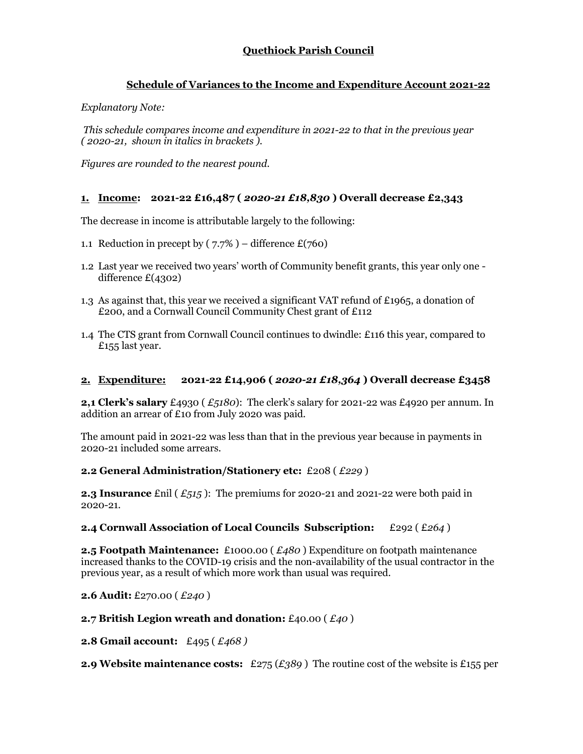# **Quethiock Parish Council**

## **Schedule of Variances to the Income and Expenditure Account 2021-22**

*Explanatory Note:*

*This schedule compares income and expenditure in 2021-22 to that in the previous year ( 2020-21, shown in italics in brackets ).* 

*Figures are rounded to the nearest pound.*

## **1. Income: 2021-22 £16,487 (** *2020-21 £18,830* **) Overall decrease £2,343**

The decrease in income is attributable largely to the following:

- 1.1 Reduction in precept by  $(7.7\%)$  difference £(760)
- 1.2 Last year we received two years' worth of Community benefit grants, this year only one difference £(4302)
- 1.3 As against that, this year we received a significant VAT refund of £1965, a donation of £200, and a Cornwall Council Community Chest grant of £112
- 1.4 The CTS grant from Cornwall Council continues to dwindle: £116 this year, compared to £155 last year.

## **2. Expenditure: 2021-22 £14,906 (** *2020-21 £18,364* **) Overall decrease £3458**

**2,1 Clerk's salary** £4930 ( *£5180*): The clerk's salary for 2021-22 was £4920 per annum. In addition an arrear of £10 from July 2020 was paid.

The amount paid in 2021-22 was less than that in the previous year because in payments in 2020-21 included some arrears.

#### **2.2 General Administration/Stationery etc:** £208 ( *£229* )

**2.3 Insurance** £nil ( *£515* ): The premiums for 2020-21 and 2021-22 were both paid in 2020-21.

#### **2.4 Cornwall Association of Local Councils Subscription:** £292 ( £*264* )

**2.5 Footpath Maintenance:** £1000.00 ( *£480* ) Expenditure on footpath maintenance increased thanks to the COVID-19 crisis and the non-availability of the usual contractor in the previous year, as a result of which more work than usual was required.

**2.6 Audit:** £270.00 ( *£240* )

## **2.7 British Legion wreath and donation:** £40.00 ( *£40* )

**2.8 Gmail account:** £495 ( *£468 )*

**2.9 Website maintenance costs:** £275 (*£389* ) The routine cost of the website is £155 per